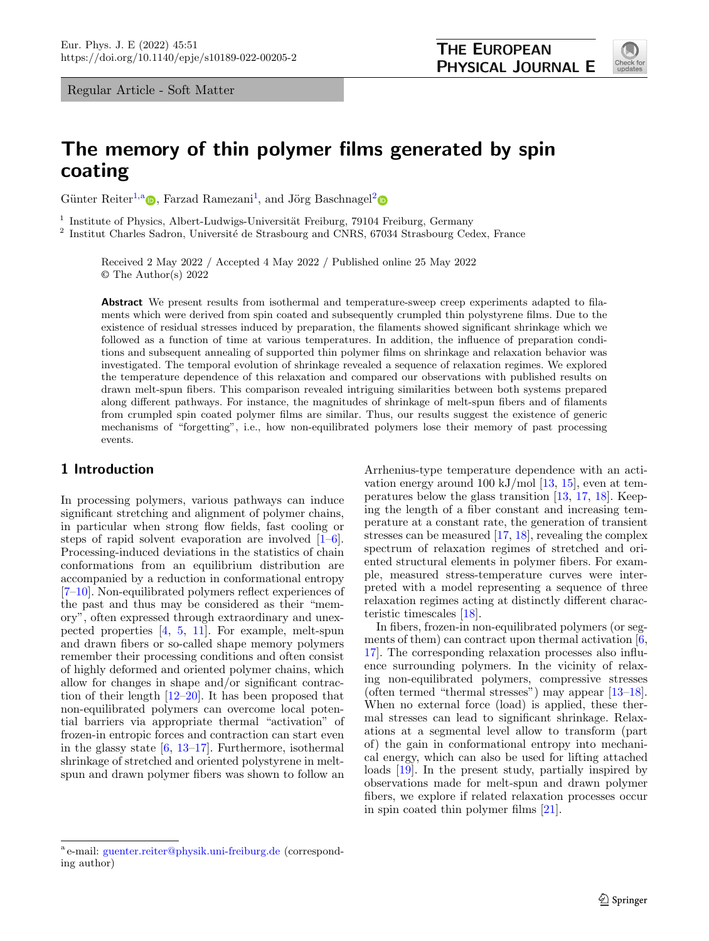<span id="page-0-0"></span>

# **The memory of thin polymer films generated by spin coating**

Günter Reiter<sup>[1,](#page-0-0)a</sup>  $\bullet$ [,](http://orcid.org/0000-0003-4578-8316) Farzad Ramezani<sup>[1](#page-0-0)</sup>, and Jörg Baschnagel<sup>[2](#page-0-0)</sup>

<sup>1</sup> Institute of Physics, Albert-Ludwigs-Universität Freiburg, 79104 Freiburg, Germany<br><sup>2</sup> Institut Charles Sadron, Universitá de Strasbourg and CNBS 67034 Strasbourg Cos

Institut Charles Sadron, Université de Strasbourg and CNRS, 67034 Strasbourg Cedex, France

Received 2 May 2022 / Accepted 4 May 2022 / Published online 25 May 2022 © The Author(s) 2022

**Abstract** We present results from isothermal and temperature-sweep creep experiments adapted to filaments which were derived from spin coated and subsequently crumpled thin polystyrene films. Due to the existence of residual stresses induced by preparation, the filaments showed significant shrinkage which we followed as a function of time at various temperatures. In addition, the influence of preparation conditions and subsequent annealing of supported thin polymer films on shrinkage and relaxation behavior was investigated. The temporal evolution of shrinkage revealed a sequence of relaxation regimes. We explored the temperature dependence of this relaxation and compared our observations with published results on drawn melt-spun fibers. This comparison revealed intriguing similarities between both systems prepared along different pathways. For instance, the magnitudes of shrinkage of melt-spun fibers and of filaments from crumpled spin coated polymer films are similar. Thus, our results suggest the existence of generic mechanisms of "forgetting", i.e., how non-equilibrated polymers lose their memory of past processing events.

# **1 Introduction**

In processing polymers, various pathways can induce significant stretching and alignment of polymer chains, in particular when strong flow fields, fast cooling or steps of rapid solvent evaporation are involved  $[1-6]$  $[1-6]$ . Processing-induced deviations in the statistics of chain conformations from an equilibrium distribution are accompanied by a reduction in conformational entropy [\[7–](#page-9-1)[10\]](#page-9-2). Non-equilibrated polymers reflect experiences of the past and thus may be considered as their "memory", often expressed through extraordinary and unexpected properties [\[4,](#page-9-3) [5,](#page-9-4) [11\]](#page-9-5). For example, melt-spun and drawn fibers or so-called shape memory polymers remember their processing conditions and often consist of highly deformed and oriented polymer chains, which allow for changes in shape and/or significant contraction of their length [\[12](#page-9-6)[–20\]](#page-9-7). It has been proposed that non-equilibrated polymers can overcome local potential barriers via appropriate thermal "activation" of frozen-in entropic forces and contraction can start even in the glassy state  $[6, 13-17]$  $[6, 13-17]$  $[6, 13-17]$ . Furthermore, isothermal shrinkage of stretched and oriented polystyrene in meltspun and drawn polymer fibers was shown to follow an

In fibers, frozen-in non-equilibrated polymers (or seg-ments of them) can contract upon thermal activation [\[6,](#page-9-0) [17\]](#page-9-9). The corresponding relaxation processes also influence surrounding polymers. In the vicinity of relaxing non-equilibrated polymers, compressive stresses (often termed "thermal stresses") may appear [\[13–](#page-9-8)[18\]](#page-9-11). When no external force (load) is applied, these thermal stresses can lead to significant shrinkage. Relaxations at a segmental level allow to transform (part of) the gain in conformational entropy into mechanical energy, which can also be used for lifting attached loads [\[19\]](#page-9-12). In the present study, partially inspired by observations made for melt-spun and drawn polymer fibers, we explore if related relaxation processes occur in spin coated thin polymer films [\[21\]](#page-9-13).

Arrhenius-type temperature dependence with an activation energy around 100 kJ/mol  $[13, 15]$  $[13, 15]$  $[13, 15]$ , even at temperatures below the glass transition [\[13,](#page-9-8) [17,](#page-9-9) [18\]](#page-9-11). Keeping the length of a fiber constant and increasing temperature at a constant rate, the generation of transient stresses can be measured [\[17,](#page-9-9) [18\]](#page-9-11), revealing the complex spectrum of relaxation regimes of stretched and oriented structural elements in polymer fibers. For example, measured stress-temperature curves were interpreted with a model representing a sequence of three relaxation regimes acting at distinctly different characteristic timescales [\[18\]](#page-9-11).

<sup>a</sup> e-mail: [guenter.reiter@physik.uni-freiburg.de](mailto:guenter.reiter@physik.uni-freiburg.de) (corresponding author)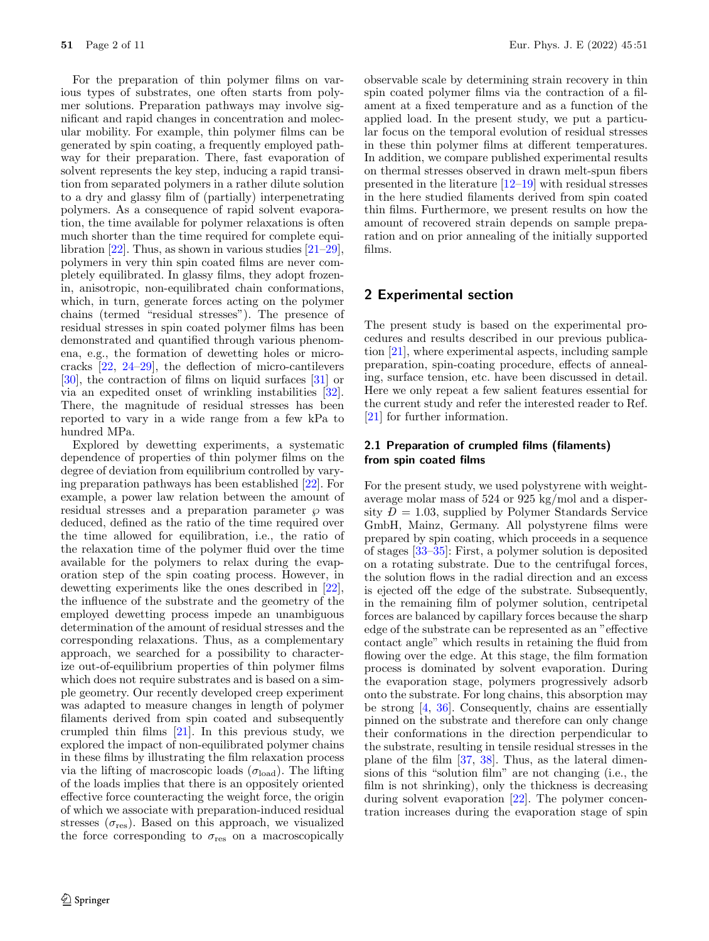For the preparation of thin polymer films on various types of substrates, one often starts from polymer solutions. Preparation pathways may involve significant and rapid changes in concentration and molecular mobility. For example, thin polymer films can be generated by spin coating, a frequently employed pathway for their preparation. There, fast evaporation of solvent represents the key step, inducing a rapid transition from separated polymers in a rather dilute solution to a dry and glassy film of (partially) interpenetrating polymers. As a consequence of rapid solvent evaporation, the time available for polymer relaxations is often much shorter than the time required for complete equilibration  $[22]$ . Thus, as shown in various studies  $[21-29]$  $[21-29]$ , polymers in very thin spin coated films are never completely equilibrated. In glassy films, they adopt frozenin, anisotropic, non-equilibrated chain conformations, which, in turn, generate forces acting on the polymer chains (termed "residual stresses"). The presence of residual stresses in spin coated polymer films has been demonstrated and quantified through various phenomena, e.g., the formation of dewetting holes or microcracks [\[22,](#page-9-14) [24–](#page-9-16)[29\]](#page-9-15), the deflection of micro-cantilevers [\[30\]](#page-9-17), the contraction of films on liquid surfaces [\[31\]](#page-9-18) or via an expedited onset of wrinkling instabilities [\[32\]](#page-9-19). There, the magnitude of residual stresses has been reported to vary in a wide range from a few kPa to hundred MPa.

Explored by dewetting experiments, a systematic dependence of properties of thin polymer films on the degree of deviation from equilibrium controlled by varying preparation pathways has been established [\[22\]](#page-9-14). For example, a power law relation between the amount of residual stresses and a preparation parameter  $\wp$  was deduced, defined as the ratio of the time required over the time allowed for equilibration, i.e., the ratio of the relaxation time of the polymer fluid over the time available for the polymers to relax during the evaporation step of the spin coating process. However, in dewetting experiments like the ones described in [\[22\]](#page-9-14), the influence of the substrate and the geometry of the employed dewetting process impede an unambiguous determination of the amount of residual stresses and the corresponding relaxations. Thus, as a complementary approach, we searched for a possibility to characterize out-of-equilibrium properties of thin polymer films which does not require substrates and is based on a simple geometry. Our recently developed creep experiment was adapted to measure changes in length of polymer filaments derived from spin coated and subsequently crumpled thin films [\[21\]](#page-9-13). In this previous study, we explored the impact of non-equilibrated polymer chains in these films by illustrating the film relaxation process via the lifting of macroscopic loads  $(\sigma_{load})$ . The lifting of the loads implies that there is an oppositely oriented effective force counteracting the weight force, the origin of which we associate with preparation-induced residual stresses  $(\sigma_{\text{res}})$ . Based on this approach, we visualized the force corresponding to  $\sigma_{\rm res}$  on a macroscopically

observable scale by determining strain recovery in thin spin coated polymer films via the contraction of a filament at a fixed temperature and as a function of the applied load. In the present study, we put a particular focus on the temporal evolution of residual stresses in these thin polymer films at different temperatures. In addition, we compare published experimental results on thermal stresses observed in drawn melt-spun fibers presented in the literature [\[12](#page-9-6)[–19\]](#page-9-12) with residual stresses in the here studied filaments derived from spin coated thin films. Furthermore, we present results on how the amount of recovered strain depends on sample preparation and on prior annealing of the initially supported films.

# **2 Experimental section**

The present study is based on the experimental procedures and results described in our previous publication [\[21\]](#page-9-13), where experimental aspects, including sample preparation, spin-coating procedure, effects of annealing, surface tension, etc. have been discussed in detail. Here we only repeat a few salient features essential for the current study and refer the interested reader to Ref. [\[21\]](#page-9-13) for further information.

# **2.1 Preparation of crumpled films (filaments) from spin coated films**

For the present study, we used polystyrene with weightaverage molar mass of 524 or 925 kg/mol and a dispersity  $D = 1.03$ , supplied by Polymer Standards Service<br>
GmbH Mainz Germany All polystyrene films were GmbH, Mainz, Germany. All polystyrene films were prepared by spin coating, which proceeds in a sequence of stages [\[33](#page-9-20)[–35\]](#page-9-21): First, a polymer solution is deposited on a rotating substrate. Due to the centrifugal forces, the solution flows in the radial direction and an excess is ejected off the edge of the substrate. Subsequently, in the remaining film of polymer solution, centripetal forces are balanced by capillary forces because the sharp edge of the substrate can be represented as an "effective contact angle" which results in retaining the fluid from flowing over the edge. At this stage, the film formation process is dominated by solvent evaporation. During the evaporation stage, polymers progressively adsorb onto the substrate. For long chains, this absorption may be strong [\[4,](#page-9-3) [36\]](#page-9-22). Consequently, chains are essentially pinned on the substrate and therefore can only change their conformations in the direction perpendicular to the substrate, resulting in tensile residual stresses in the plane of the film [\[37,](#page-9-23) [38\]](#page-9-24). Thus, as the lateral dimensions of this "solution film" are not changing (i.e., the film is not shrinking), only the thickness is decreasing during solvent evaporation [\[22\]](#page-9-14). The polymer concentration increases during the evaporation stage of spin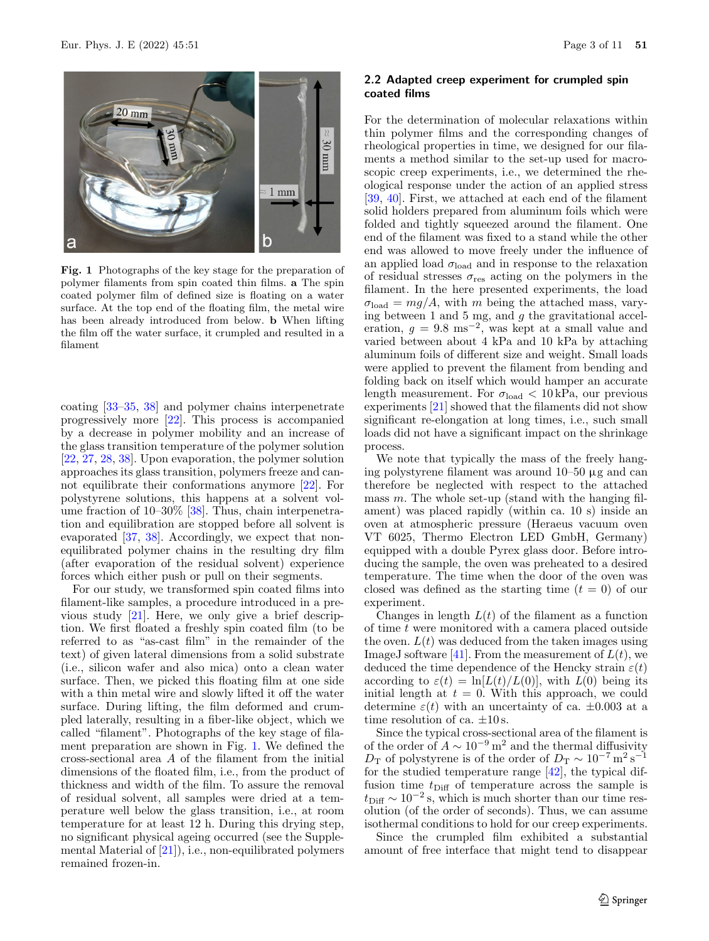

<span id="page-2-0"></span>**Fig. 1** Photographs of the key stage for the preparation of polymer filaments from spin coated thin films. **a** The spin coated polymer film of defined size is floating on a water surface. At the top end of the floating film, the metal wire has been already introduced from below. **b** When lifting the film off the water surface, it crumpled and resulted in a filament

coating [\[33](#page-9-20)[–35,](#page-9-21) [38\]](#page-9-24) and polymer chains interpenetrate progressively more [\[22\]](#page-9-14). This process is accompanied by a decrease in polymer mobility and an increase of the glass transition temperature of the polymer solution [\[22,](#page-9-14) [27,](#page-9-25) [28,](#page-9-26) [38\]](#page-9-24). Upon evaporation, the polymer solution approaches its glass transition, polymers freeze and cannot equilibrate their conformations anymore [\[22\]](#page-9-14). For polystyrene solutions, this happens at a solvent vol-ume fraction of 10–30% [\[38\]](#page-9-24). Thus, chain interpenetration and equilibration are stopped before all solvent is evaporated [\[37,](#page-9-23) [38\]](#page-9-24). Accordingly, we expect that nonequilibrated polymer chains in the resulting dry film (after evaporation of the residual solvent) experience forces which either push or pull on their segments.

For our study, we transformed spin coated films into filament-like samples, a procedure introduced in a previous study [\[21\]](#page-9-13). Here, we only give a brief description. We first floated a freshly spin coated film (to be referred to as "as-cast film" in the remainder of the text) of given lateral dimensions from a solid substrate (i.e., silicon wafer and also mica) onto a clean water surface. Then, we picked this floating film at one side with a thin metal wire and slowly lifted it off the water surface. During lifting, the film deformed and crumpled laterally, resulting in a fiber-like object, which we called "filament". Photographs of the key stage of filament preparation are shown in Fig. [1.](#page-2-0) We defined the cross-sectional area A of the filament from the initial dimensions of the floated film, i.e., from the product of thickness and width of the film. To assure the removal of residual solvent, all samples were dried at a temperature well below the glass transition, i.e., at room temperature for at least 12 h. During this drying step, no significant physical ageing occurred (see the Supplemental Material of [\[21\]](#page-9-13)), i.e., non-equilibrated polymers remained frozen-in.

### **2.2 Adapted creep experiment for crumpled spin coated films**

For the determination of molecular relaxations within thin polymer films and the corresponding changes of rheological properties in time, we designed for our filaments a method similar to the set-up used for macroscopic creep experiments, i.e., we determined the rheological response under the action of an applied stress [\[39,](#page-9-27) [40\]](#page-9-28). First, we attached at each end of the filament solid holders prepared from aluminum foils which were folded and tightly squeezed around the filament. One end of the filament was fixed to a stand while the other end was allowed to move freely under the influence of an applied load  $\sigma_{load}$  and in response to the relaxation of residual stresses  $\sigma_{\text{res}}$  acting on the polymers in the filament. In the here presented experiments, the load  $\sigma_{\text{load}} = mg/A$ , with m being the attached mass, varying between 1 and 5 mg, and  $g$  the gravitational acceleration,  $g = 9.8 \text{ ms}^{-2}$ , was kept at a small value and varied between about 4 kPa and 10 kPa by attaching aluminum foils of different size and weight. Small loads were applied to prevent the filament from bending and folding back on itself which would hamper an accurate length measurement. For  $\sigma_{load} < 10$  kPa, our previous experiments [\[21\]](#page-9-13) showed that the filaments did not show significant re-elongation at long times, i.e., such small loads did not have a significant impact on the shrinkage process.

We note that typically the mass of the freely hanging polystyrene filament was around 10–50 µg and can therefore be neglected with respect to the attached mass  $m$ . The whole set-up (stand with the hanging filament) was placed rapidly (within ca. 10 s) inside an oven at atmospheric pressure (Heraeus vacuum oven VT 6025, Thermo Electron LED GmbH, Germany) equipped with a double Pyrex glass door. Before introducing the sample, the oven was preheated to a desired temperature. The time when the door of the oven was closed was defined as the starting time  $(t = 0)$  of our experiment.

Changes in length  $L(t)$  of the filament as a function of time  $t$  were monitored with a camera placed outside the oven.  $L(t)$  was deduced from the taken images using ImageJ software [\[41\]](#page-9-29). From the measurement of  $L(t)$ , we deduced the time dependence of the Hencky strain  $\varepsilon(t)$ according to  $\varepsilon(t) = \ln[L(t)/L(0)]$ , with  $L(0)$  being its initial length at  $t = 0$ . With this approach, we could determine  $\varepsilon(t)$  with an uncertainty of ca.  $\pm 0.003$  at a time resolution of ca.  $\pm 10$  s.

Since the typical cross-sectional area of the filament is of the order of  $A \sim 10^{-9}$  m<sup>2</sup> and the thermal diffusivity  $D_T$  of polystyrene is of the order of  $D_T \sim 10^{-7} \,\mathrm{m}^2 \,\mathrm{s}^{-1}$ for the studied temperature range [\[42\]](#page-10-0), the typical diffusion time  $t_{\text{Diff}}$  of temperature across the sample is  $t_{\text{Diff}} \sim 10^{-2}$  s, which is much shorter than our time resolution (of the order of seconds). Thus, we can assume isothermal conditions to hold for our creep experiments.

Since the crumpled film exhibited a substantial amount of free interface that might tend to disappear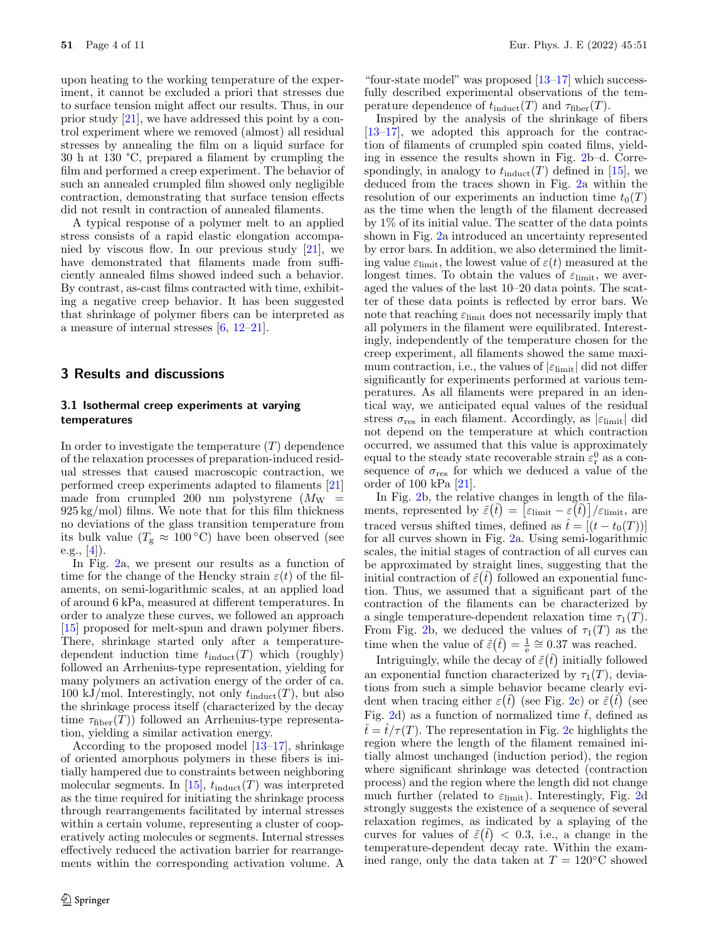upon heating to the working temperature of the experiment, it cannot be excluded a priori that stresses due to surface tension might affect our results. Thus, in our prior study [\[21\]](#page-9-13), we have addressed this point by a control experiment where we removed (almost) all residual stresses by annealing the film on a liquid surface for 30 h at 130 °C, prepared a filament by crumpling the film and performed a creep experiment. The behavior of such an annealed crumpled film showed only negligible contraction, demonstrating that surface tension effects did not result in contraction of annealed filaments.

A typical response of a polymer melt to an applied stress consists of a rapid elastic elongation accompanied by viscous flow. In our previous study [\[21\]](#page-9-13), we have demonstrated that filaments made from sufficiently annealed films showed indeed such a behavior. By contrast, as-cast films contracted with time, exhibiting a negative creep behavior. It has been suggested that shrinkage of polymer fibers can be interpreted as a measure of internal stresses [\[6,](#page-9-0) [12–](#page-9-6)[21\]](#page-9-13).

# **3 Results and discussions**

#### **3.1 Isothermal creep experiments at varying temperatures**

In order to investigate the temperature  $(T)$  dependence of the relaxation processes of preparation-induced residual stresses that caused macroscopic contraction, we performed creep experiments adapted to filaments [\[21\]](#page-9-13) made from crumpled 200 nm polystyrene  $(M_W =$ 925 kg/mol) films. We note that for this film thickness no deviations of the glass transition temperature from its bulk value ( $T_g \approx 100\degree C$ ) have been observed (see e.g.,  $[4]$ ).

In Fig. [2a](#page-4-0), we present our results as a function of time for the change of the Hencky strain  $\varepsilon(t)$  of the filaments, on semi-logarithmic scales, at an applied load of around 6 kPa, measured at different temperatures. In order to analyze these curves, we followed an approach [\[15\]](#page-9-10) proposed for melt-spun and drawn polymer fibers. There, shrinkage started only after a temperaturedependent induction time  $t_{\text{induct}}(T)$  which (roughly) followed an Arrhenius-type representation, yielding for many polymers an activation energy of the order of ca. 100 kJ/mol. Interestingly, not only  $t_{\text{induct}}(T)$ , but also the shrinkage process itself (characterized by the decay time  $\tau_{\text{fiber}}(T)$  followed an Arrhenius-type representation, yielding a similar activation energy.

According to the proposed model [\[13](#page-9-8)[–17\]](#page-9-9), shrinkage of oriented amorphous polymers in these fibers is initially hampered due to constraints between neighboring molecular segments. In [\[15\]](#page-9-10),  $t_{\text{induct}}(T)$  was interpreted as the time required for initiating the shrinkage process through rearrangements facilitated by internal stresses within a certain volume, representing a cluster of cooperatively acting molecules or segments. Internal stresses effectively reduced the activation barrier for rearrangements within the corresponding activation volume. A

"four-state model" was proposed  $[13-17]$  $[13-17]$  which successfully described experimental observations of the temperature dependence of  $t_{\text{induct}}(T)$  and  $\tau_{\text{fiber}}(T)$ .

Inspired by the analysis of the shrinkage of fibers [\[13–](#page-9-8)[17\]](#page-9-9), we adopted this approach for the contraction of filaments of crumpled spin coated films, yielding in essence the results shown in Fig. [2b](#page-4-0)–d. Correspondingly, in analogy to  $t_{\text{induct}}(T)$  defined in [\[15\]](#page-9-10), we deduced from the traces shown in Fig. [2a](#page-4-0) within the resolution of our experiments an induction time  $t_0(T)$ as the time when the length of the filament decreased by 1% of its initial value. The scatter of the data points shown in Fig. [2a](#page-4-0) introduced an uncertainty represented by error bars. In addition, we also determined the limiting value  $\varepsilon_{\text{limit}}$ , the lowest value of  $\varepsilon(t)$  measured at the longest times. To obtain the values of  $\varepsilon$ <sub>limit</sub>, we averaged the values of the last 10–20 data points. The scatter of these data points is reflected by error bars. We note that reaching  $\varepsilon$ <sub>limit</sub> does not necessarily imply that all polymers in the filament were equilibrated. Interestingly, independently of the temperature chosen for the creep experiment, all filaments showed the same maximum contraction, i.e., the values of  $|\varepsilon_{\text{limit}}|$  did not differ significantly for experiments performed at various temperatures. As all filaments were prepared in an identical way, we anticipated equal values of the residual stress  $\sigma_{\text{res}}$  in each filament. Accordingly, as  $|\varepsilon_{\text{limit}}|$  did not depend on the temperature at which contraction occurred, we assumed that this value is approximately equal to the steady state recoverable strain  $\varepsilon_{\rm r}^0$  as a con-<br>sequence of  $\sigma_{\rm res}$  for which we deduced a value of the sequence of  $\sigma_{\text{res}}$  for which we deduced a value of the order of 100 kPa [\[21\]](#page-9-13).

In Fig. [2b](#page-4-0), the relative changes in length of the filaments, represented by  $\tilde{\varepsilon}(\hat{t}) = [\varepsilon_{\text{limit}} - \varepsilon(\hat{t})] / \varepsilon_{\text{limit}}$ , are traced versus shifted times, defined as  $\hat{t} = [(t - t_0(T))]$ <br>for all curves shown in Fig. 2a. Using semi-logarithmic for all curves shown in Fig. [2a](#page-4-0). Using semi-logarithmic scales, the initial stages of contraction of all curves can be approximated by straight lines, suggesting that the initial contraction of  $\tilde{\varepsilon}(\hat{t})$  followed an exponential function. Thus, we assumed that a significant part of the t tion. Thus, we assumed that a significant part of the contraction of the filaments can be characterized by a single temperature-dependent relaxation time  $\tau_1(T)$ . From Fig. [2b](#page-4-0), we deduced the values of  $\tau_1(T)$  as the time when the value of  $\tilde{\varepsilon}(\hat{t}) = \frac{1}{e} \cong 0.37$  was reached.

Intriguingly, while the decay of  $\tilde{\varepsilon}(\hat{t})$  initially followed<br>exponential function characterized by  $\tau_i(T)$  deviaan exponential function characterized by  $\tau_1(T)$ , devia-<br>tions from such a simple behavior became clearly evitions from such a simple behavior became clearly evident when tracing either  $\varepsilon(\tilde{t})$  (see Fig. [2c](#page-4-0)) or  $\tilde{\varepsilon}(\tilde{t})$  (see Fig. [2d](#page-4-0)) as a function of normalized time  $\tilde{t}$ , defined as<br> $\tilde{t} = \hat{t}/\tau(T)$ . The representation in Fig. 2c highlights the region where the length of the filament remained ini- $\dot{t} = t/\tau(T)$ . The representation in Fig. [2c](#page-4-0) highlights the tially almost unchanged (induction period), the region where significant shrinkage was detected (contraction process) and the region where the length did not change much further (related to  $\varepsilon_{\text{limit}}$ ). Interestingly, Fig. [2d](#page-4-0) strongly suggests the existence of a sequence of several relaxation regimes, as indicated by a splaying of the curves for values of  $\tilde{\varepsilon}(t) < 0.3$ , i.e., a change in the temperature-dependent decay rate. Within the examt temperature-dependent decay rate. Within the examined range, only the data taken at  $T = 120\degree C$  showed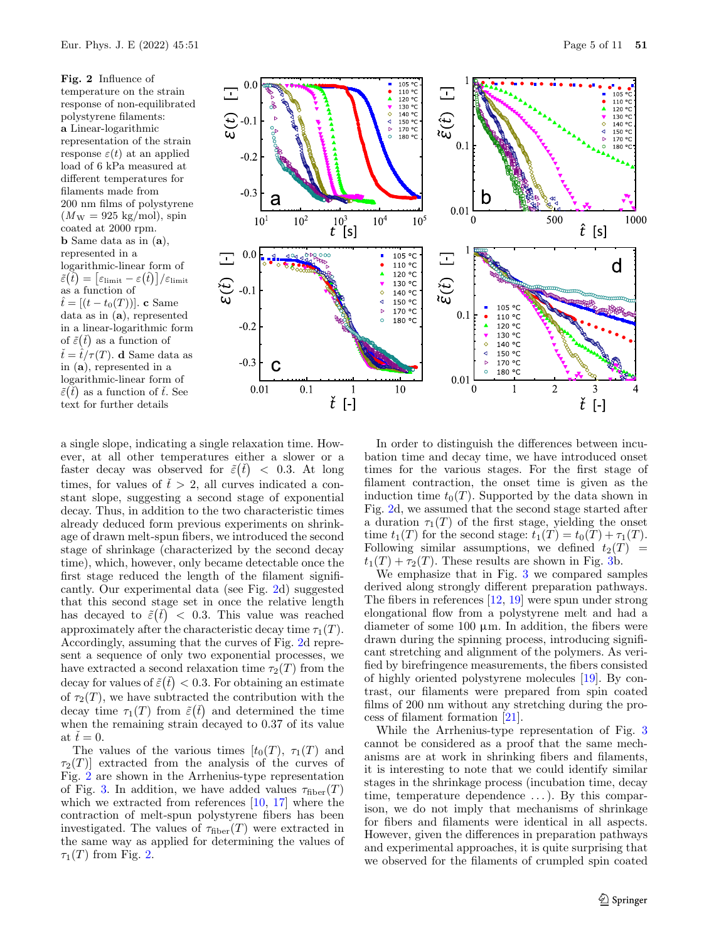<span id="page-4-0"></span>**Fig. 2** Influence of temperature on the strain response of non-equilibrated polystyrene filaments: **a** Linear-logarithmic representation of the strain response  $\varepsilon(t)$  at an applied load of 6 kPa measured at different temperatures for filaments made from 200 nm films of polystyrene  $(M_{\rm W} = 925 \text{ kg/mol})$ , spin coated at 2000 rpm. **b** Same data as in (**a**), represented in a logarithmic-linear form of  $\tilde{\varepsilon}\big(\hat{t}\big) = \big[\varepsilon_{\rm limit} - \varepsilon\big(\hat{t}\big)\big]/\varepsilon_{\rm limit}$ as a function of  $\hat{t} = [(t - t_0(T))]$ . **c** Same data as in (**a**), represented in a linear-logarithmic form of  $\tilde{\varepsilon}(\tilde{t})$  as a function of  $\check{t} = \hat{t}/\tau(T)$ . **d** Same data as in (**a**), represented in a logarithmic-linear form of  $\tilde{\varepsilon}(\tilde{t})$  as a function of  $\tilde{t}$ . See text for further details





a single slope, indicating a single relaxation time. However, at all other temperatures either a slower or a faster decay was observed for  $\tilde{\varepsilon}(t) < 0.3$ . At long<br>times for values of  $\tilde{t} > 2$  all curves indicated a contimes, for values of  $\tilde{t} > 2$ , all curves indicated a con-<br>stant slope suggesting a second stage of exponential stant slope, suggesting a second stage of exponential decay. Thus, in addition to the two characteristic times already deduced form previous experiments on shrinkage of drawn melt-spun fibers, we introduced the second stage of shrinkage (characterized by the second decay time), which, however, only became detectable once the first stage reduced the length of the filament significantly. Our experimental data (see Fig. [2d](#page-4-0)) suggested that this second stage set in once the relative length has decayed to  $\tilde{\varepsilon}(\tilde{t}) < 0.3$ . This value was reached<br>approximately after the characteristic decay time  $\tau_{\varepsilon}(T)$ approximately after the characteristic decay time  $\tau_1(T)$ .<br>Accordingly assuming that the curves of Fig. 2d repre-Accordingly, assuming that the curves of Fig. [2d](#page-4-0) represent a sequence of only two exponential processes, we have extracted a second relaxation time  $\tau_2(T)$  from the decay for values of  $\tilde{\varepsilon}(t) < 0.3$ . For obtaining an estimate<br>of  $\tau_2(T)$ , we have subtracted the contribution with the of  $\tau_2(T)$ , we have subtracted the contribution with the<br>decay time  $\tau_1(T)$  from  $\tilde{\epsilon}(t)$  and determined the time decay time  $\tau_1(T)$  from  $\tilde{\varepsilon}(\tilde{t})$  and determined the time<br>when the remaining strain decayed to 0.37 of its value when the remaining strain decayed to 0.37 of its value at  $t = 0$ .<br>The v

The values of the various times  $[t_0(T), \tau_1(T)]$  and  $\tau_2(T)$  extracted from the analysis of the curves of Fig. [2](#page-4-0) are shown in the Arrhenius-type representation of Fig. [3.](#page-5-0) In addition, we have added values  $\tau_{\text{fiber}}(T)$ which we extracted from references [\[10,](#page-9-2) [17\]](#page-9-9) where the contraction of melt-spun polystyrene fibers has been investigated. The values of  $\tau_{\text{fiber}}(T)$  were extracted in the same way as applied for determining the values of  $\tau_1(T)$  from Fig. [2.](#page-4-0)

In order to distinguish the differences between incubation time and decay time, we have introduced onset times for the various stages. For the first stage of filament contraction, the onset time is given as the induction time  $t_0(T)$ . Supported by the data shown in Fig. [2d](#page-4-0), we assumed that the second stage started after a duration  $\tau_1(T)$  of the first stage, yielding the onset time  $t_1(T)$  for the second stage:  $t_1(T) = t_0(T) + \tau_1(T)$ . Following similar assumptions, we defined  $t_2(T)$  =  $t_1(T) + \tau_2(T)$ . These results are shown in Fig. [3b](#page-5-0).

We emphasize that in Fig. [3](#page-5-0) we compared samples derived along strongly different preparation pathways. The fibers in references [\[12,](#page-9-6) [19\]](#page-9-12) were spun under strong elongational flow from a polystyrene melt and had a diameter of some  $100 \mu m$ . In addition, the fibers were drawn during the spinning process, introducing significant stretching and alignment of the polymers. As verified by birefringence measurements, the fibers consisted of highly oriented polystyrene molecules [\[19\]](#page-9-12). By contrast, our filaments were prepared from spin coated films of 200 nm without any stretching during the process of filament formation [\[21\]](#page-9-13).

While the Arrhenius-type representation of Fig. [3](#page-5-0) cannot be considered as a proof that the same mechanisms are at work in shrinking fibers and filaments, it is interesting to note that we could identify similar stages in the shrinkage process (incubation time, decay time, temperature dependence ...). By this comparison, we do not imply that mechanisms of shrinkage for fibers and filaments were identical in all aspects. However, given the differences in preparation pathways and experimental approaches, it is quite surprising that we observed for the filaments of crumpled spin coated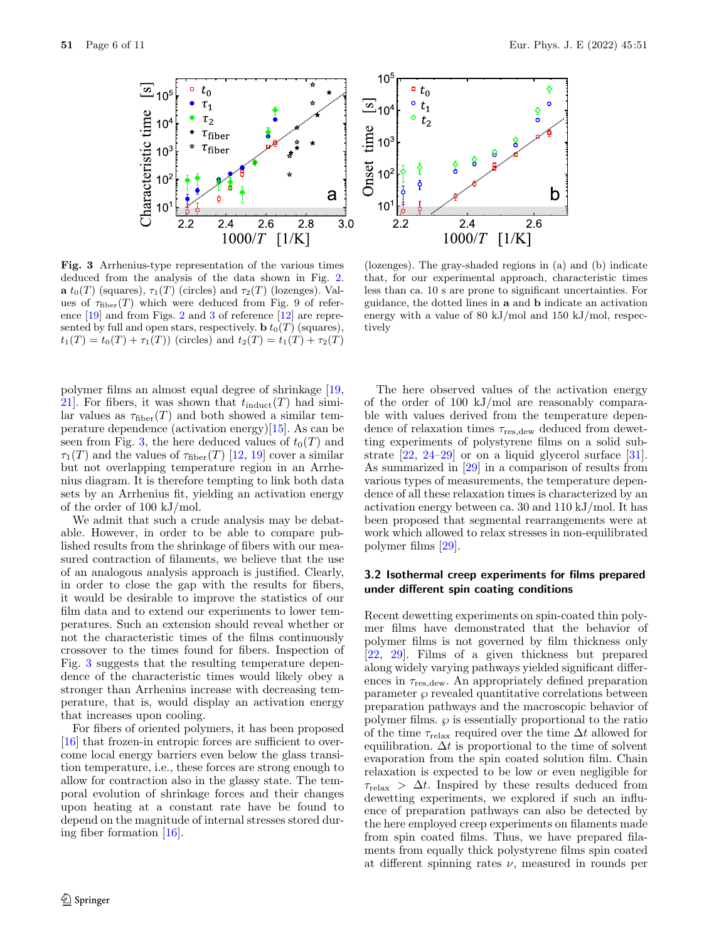

<span id="page-5-0"></span>**Fig. 3** Arrhenius-type representation of the various times deduced from the analysis of the data shown in Fig. [2.](#page-4-0) **a**  $t_0(T)$  (squares),  $\tau_1(T)$  (circles) and  $\tau_2(T)$  (lozenges). Values of  $\tau_{\text{fiber}}(T)$  which were deduced from Fig. 9 of reference [\[19\]](#page-9-12) and from Figs. [2](#page-4-0) and [3](#page-5-0) of reference [\[12\]](#page-9-6) are represented by full and open stars, respectively. **b**  $t_0(T)$  (squares),  $t_1(T) = t_0(T) + \tau_1(T)$  (circles) and  $t_2(T) = t_1(T) + \tau_2(T)$ 

polymer films an almost equal degree of shrinkage [\[19,](#page-9-12) 21. For fibers, it was shown that  $t_{\text{induct}}(T)$  had similar values as  $\tau_{\text{fiber}}(T)$  and both showed a similar temperature dependence (activation energy)[\[15\]](#page-9-10). As can be seen from Fig. [3,](#page-5-0) the here deduced values of  $t_0(T)$  and  $\tau_1(T)$  and the values of  $\tau_{\text{fiber}}(T)$  [\[12,](#page-9-6) [19\]](#page-9-12) cover a similar but not overlapping temperature region in an Arrhenius diagram. It is therefore tempting to link both data sets by an Arrhenius fit, yielding an activation energy of the order of 100 kJ/mol.

We admit that such a crude analysis may be debatable. However, in order to be able to compare published results from the shrinkage of fibers with our measured contraction of filaments, we believe that the use of an analogous analysis approach is justified. Clearly, in order to close the gap with the results for fibers, it would be desirable to improve the statistics of our film data and to extend our experiments to lower temperatures. Such an extension should reveal whether or not the characteristic times of the films continuously crossover to the times found for fibers. Inspection of Fig. [3](#page-5-0) suggests that the resulting temperature dependence of the characteristic times would likely obey a stronger than Arrhenius increase with decreasing temperature, that is, would display an activation energy that increases upon cooling.

For fibers of oriented polymers, it has been proposed [\[16\]](#page-9-30) that frozen-in entropic forces are sufficient to overcome local energy barriers even below the glass transition temperature, i.e., these forces are strong enough to allow for contraction also in the glassy state. The temporal evolution of shrinkage forces and their changes upon heating at a constant rate have be found to depend on the magnitude of internal stresses stored during fiber formation [\[16\]](#page-9-30).



(lozenges). The gray-shaded regions in (a) and (b) indicate that, for our experimental approach, characteristic times less than ca. 10 s are prone to significant uncertainties. For guidance, the dotted lines in **a** and **b** indicate an activation energy with a value of 80 kJ/mol and 150 kJ/mol, respectively

The here observed values of the activation energy of the order of 100 kJ/mol are reasonably comparable with values derived from the temperature dependence of relaxation times  $\tau_{\text{res.}dew}$  deduced from dewetting experiments of polystyrene films on a solid substrate [\[22,](#page-9-14) [24](#page-9-16)[–29\]](#page-9-15) or on a liquid glycerol surface [\[31\]](#page-9-18). As summarized in [\[29\]](#page-9-15) in a comparison of results from various types of measurements, the temperature dependence of all these relaxation times is characterized by an activation energy between ca. 30 and 110 kJ/mol. It has been proposed that segmental rearrangements were at work which allowed to relax stresses in non-equilibrated polymer films [\[29\]](#page-9-15).

#### **3.2 Isothermal creep experiments for films prepared under different spin coating conditions**

Recent dewetting experiments on spin-coated thin polymer films have demonstrated that the behavior of polymer films is not governed by film thickness only [\[22,](#page-9-14) [29\]](#page-9-15). Films of a given thickness but prepared along widely varying pathways yielded significant differences in  $\tau_{\text{res, dew}}$ . An appropriately defined preparation parameter  $\wp$  revealed quantitative correlations between preparation pathways and the macroscopic behavior of polymer films.  $\wp$  is essentially proportional to the ratio of the time  $\tau_{relax}$  required over the time  $\Delta t$  allowed for equilibration.  $\Delta t$  is proportional to the time of solvent evaporation from the spin coated solution film. Chain relaxation is expected to be low or even negligible for  $\tau_{\text{relax}} > \Delta t$ . Inspired by these results deduced from dewetting experiments, we explored if such an influence of preparation pathways can also be detected by the here employed creep experiments on filaments made from spin coated films. Thus, we have prepared filaments from equally thick polystyrene films spin coated at different spinning rates  $\nu$ , measured in rounds per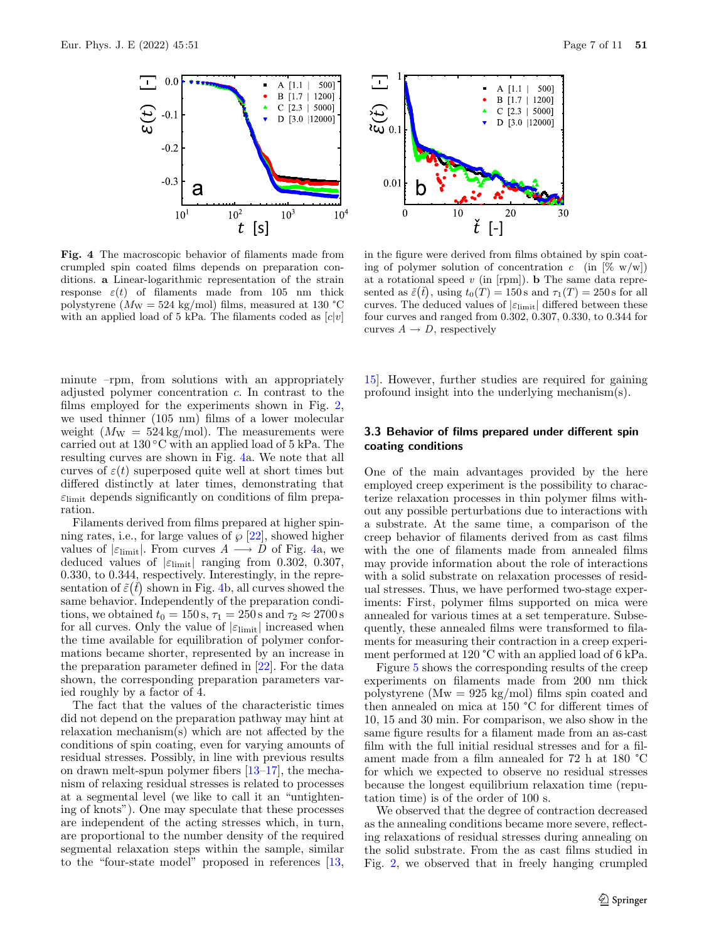

<span id="page-6-0"></span>**Fig. 4** The macroscopic behavior of filaments made from crumpled spin coated films depends on preparation conditions. **a** Linear-logarithmic representation of the strain response  $\varepsilon(t)$  of filaments made from 105 nm thick polystyrene ( $M_{\text{W}} = 524$  kg/mol) films, measured at 130 °C with an applied load of 5 kPa. The filaments coded as  $[c|v]$ 

minute –rpm, from solutions with an appropriately adjusted polymer concentration c. In contrast to the films employed for the experiments shown in Fig. [2,](#page-4-0) we used thinner (105 nm) films of a lower molecular weight  $(M_W = 524 \text{ kg/mol})$ . The measurements were carried out at  $130\degree C$  with an applied load of 5 kPa. The resulting curves are shown in Fig. [4a](#page-6-0). We note that all curves of  $\varepsilon(t)$  superposed quite well at short times but differed distinctly at later times, demonstrating that  $\varepsilon$ <sub>limit</sub> depends significantly on conditions of film preparation.

Filaments derived from films prepared at higher spinning rates, i.e., for large values of  $\wp$  [\[22\]](#page-9-14), showed higher values of  $|\epsilon_{\text{limit}}|$ . From curves  $A \longrightarrow D$  of Fig. [4a](#page-6-0), we deduced values of  $|\varepsilon_{\text{limit}}|$  ranging from 0.302, 0.307, 0.330, to 0.344, respectively. Interestingly, in the representation of  $\tilde{\varepsilon}(\tilde{t})$  shown in Fig. [4b](#page-6-0), all curves showed the same behavior. Independently of the preparation condisame behavior. Independently of the preparation conditions, we obtained  $t_0 = 150$  s,  $\tau_1 = 250$  s and  $\tau_2 \approx 2700$  s for all curves. Only the value of  $|\varepsilon_{\text{limit}}|$  increased when the time available for equilibration of polymer conformations became shorter, represented by an increase in the preparation parameter defined in [\[22\]](#page-9-14). For the data shown, the corresponding preparation parameters varied roughly by a factor of 4.

The fact that the values of the characteristic times did not depend on the preparation pathway may hint at relaxation mechanism(s) which are not affected by the conditions of spin coating, even for varying amounts of residual stresses. Possibly, in line with previous results on drawn melt-spun polymer fibers [\[13](#page-9-8)[–17\]](#page-9-9), the mechanism of relaxing residual stresses is related to processes at a segmental level (we like to call it an "untightening of knots"). One may speculate that these processes are independent of the acting stresses which, in turn, are proportional to the number density of the required segmental relaxation steps within the sample, similar to the "four-state model" proposed in references [\[13,](#page-9-8)

in the figure were derived from films obtained by spin coating of polymer solution of concentration  $c$  (in  $[\% \ w/w]$ ) at a rotational speed *v* (in [rpm]). **b** The same data represented as  $\tilde{\varepsilon}(\tilde{t})$ , using  $t_0(T) = 150$  s and  $\tau_1(T) = 250$  s for all curves. The deduced values of  $|\varepsilon_{\text{limit}}|$  differed between these four curves and ranged from 0.302, 0.307, 0.330, to 0.344 for curves  $A \rightarrow D$ , respectively

[15\]](#page-9-10). However, further studies are required for gaining profound insight into the underlying mechanism(s).

#### **3.3 Behavior of films prepared under different spin coating conditions**

One of the main advantages provided by the here employed creep experiment is the possibility to characterize relaxation processes in thin polymer films without any possible perturbations due to interactions with a substrate. At the same time, a comparison of the creep behavior of filaments derived from as cast films with the one of filaments made from annealed films may provide information about the role of interactions with a solid substrate on relaxation processes of residual stresses. Thus, we have performed two-stage experiments: First, polymer films supported on mica were annealed for various times at a set temperature. Subsequently, these annealed films were transformed to filaments for measuring their contraction in a creep experiment performed at 120 °C with an applied load of 6 kPa.

Figure [5](#page-7-0) shows the corresponding results of the creep experiments on filaments made from 200 nm thick polystyrene ( $Mw = 925 \text{ kg/mol}$ ) films spin coated and then annealed on mica at 150 °C for different times of 10, 15 and 30 min. For comparison, we also show in the same figure results for a filament made from an as-cast film with the full initial residual stresses and for a filament made from a film annealed for 72 h at 180 °C for which we expected to observe no residual stresses because the longest equilibrium relaxation time (reputation time) is of the order of 100 s.

We observed that the degree of contraction decreased as the annealing conditions became more severe, reflecting relaxations of residual stresses during annealing on the solid substrate. From the as cast films studied in Fig. [2,](#page-4-0) we observed that in freely hanging crumpled

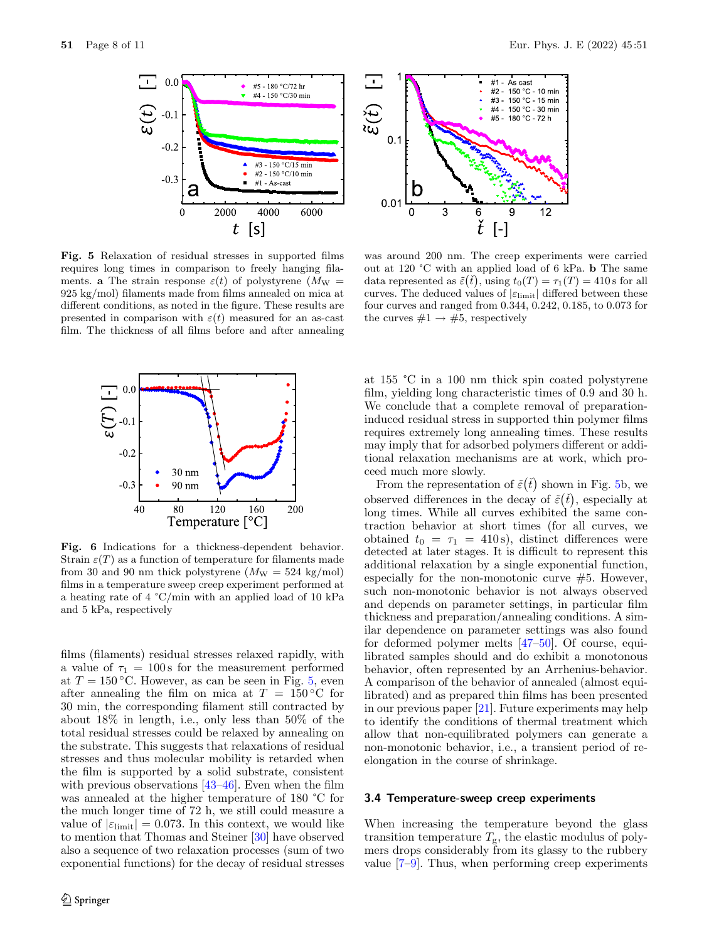

<span id="page-7-0"></span>**Fig. 5** Relaxation of residual stresses in supported films requires long times in comparison to freely hanging filaments. **a** The strain response  $\varepsilon(t)$  of polystyrene  $(M_W =$ 925 kg/mol) filaments made from films annealed on mica at different conditions, as noted in the figure. These results are presented in comparison with  $\varepsilon(t)$  measured for an as-cast film. The thickness of all films before and after annealing



<span id="page-7-1"></span>**Fig. 6** Indications for a thickness-dependent behavior. Strain  $\varepsilon(T)$  as a function of temperature for filaments made from 30 and 90 nm thick polystyrene  $(M_W = 524 \text{ kg/mol})$ films in a temperature sweep creep experiment performed at a heating rate of 4 °C/min with an applied load of 10 kPa and 5 kPa, respectively

films (filaments) residual stresses relaxed rapidly, with a value of  $\tau_1 = 100$  s for the measurement performed at  $T = 150$  °C. However, as can be seen in Fig. [5,](#page-7-0) even after annealing the film on mica at  $T = 150 °C$  for 30 min, the corresponding filament still contracted by about 18% in length, i.e., only less than 50% of the total residual stresses could be relaxed by annealing on the substrate. This suggests that relaxations of residual stresses and thus molecular mobility is retarded when the film is supported by a solid substrate, consistent with previous observations  $[43-46]$  $[43-46]$ . Even when the film was annealed at the higher temperature of 180 °C for the much longer time of 72 h, we still could measure a value of  $|\varepsilon_{\text{limit}}| = 0.073$ . In this context, we would like to mention that Thomas and Steiner [\[30\]](#page-9-17) have observed also a sequence of two relaxation processes (sum of two exponential functions) for the decay of residual stresses



was around 200 nm. The creep experiments were carried out at 120 °C with an applied load of 6 kPa. **b** The same data represented as  $\tilde{\varepsilon}(\tilde{t})$ , using  $t_0(T) = \tau_1(T) = 410$  s for all curves. The deduced values of  $|\varepsilon_{\text{limit}}|$  differed between these four curves and ranged from 0.344, 0.242, 0.185, to 0.073 for the curves  $#1 \rightarrow #5$ , respectively

at 155 °C in a 100 nm thick spin coated polystyrene film, yielding long characteristic times of 0.9 and 30 h. We conclude that a complete removal of preparationinduced residual stress in supported thin polymer films requires extremely long annealing times. These results may imply that for adsorbed polymers different or additional relaxation mechanisms are at work, which proceed much more slowly.

From the representation of  $\tilde{\varepsilon}(\tilde{t})$  shown in Fig. [5b](#page-7-0), we<br>conved differences in the decay of  $\tilde{\varepsilon}(\tilde{t})$  conocially at observed differences in the decay of  $\tilde{\varepsilon}(\tilde{t})$ , especially at<br>long times. While all curves exhibited the same conlong times. While all curves exhibited the same contraction behavior at short times (for all curves, we obtained  $t_0 = \tau_1 = 410 \text{ s}$ , distinct differences were detected at later stages. It is difficult to represent this additional relaxation by a single exponential function, especially for the non-monotonic curve  $#5$ . However, such non-monotonic behavior is not always observed and depends on parameter settings, in particular film thickness and preparation/annealing conditions. A similar dependence on parameter settings was also found for deformed polymer melts [\[47–](#page-10-3)[50\]](#page-10-4). Of course, equilibrated samples should and do exhibit a monotonous behavior, often represented by an Arrhenius-behavior. A comparison of the behavior of annealed (almost equilibrated) and as prepared thin films has been presented in our previous paper [\[21\]](#page-9-13). Future experiments may help to identify the conditions of thermal treatment which allow that non-equilibrated polymers can generate a non-monotonic behavior, i.e., a transient period of reelongation in the course of shrinkage.

#### **3.4 Temperature-sweep creep experiments**

When increasing the temperature beyond the glass transition temperature  $T_{\rm g}$ , the elastic modulus of polymers drops considerably from its glassy to the rubbery value [\[7](#page-9-1)[–9\]](#page-9-31). Thus, when performing creep experiments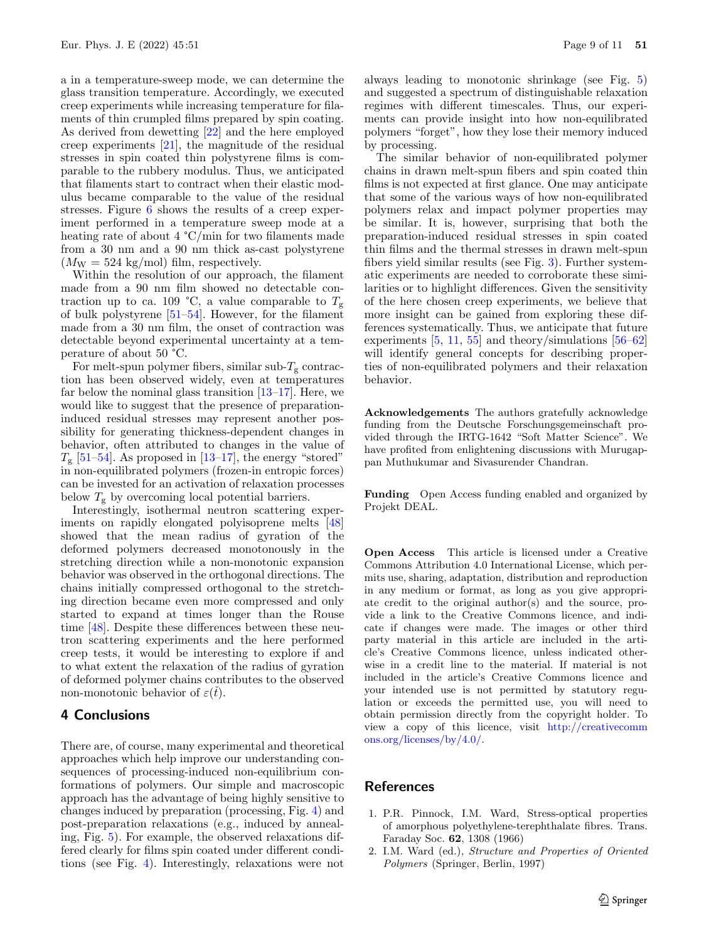a in a temperature-sweep mode, we can determine the glass transition temperature. Accordingly, we executed creep experiments while increasing temperature for filaments of thin crumpled films prepared by spin coating. As derived from dewetting [\[22\]](#page-9-14) and the here employed creep experiments [\[21\]](#page-9-13), the magnitude of the residual stresses in spin coated thin polystyrene films is comparable to the rubbery modulus. Thus, we anticipated that filaments start to contract when their elastic modulus became comparable to the value of the residual stresses. Figure [6](#page-7-1) shows the results of a creep experiment performed in a temperature sweep mode at a heating rate of about 4 °C/min for two filaments made from a 30 nm and a 90 nm thick as-cast polystyrene  $(M_W = 524 \text{ kg/mol})$  film, respectively.

Within the resolution of our approach, the filament made from a 90 nm film showed no detectable contraction up to ca. 109 °C, a value comparable to  $T_{\rm g}$ of bulk polystyrene [\[51](#page-10-5)[–54\]](#page-10-6). However, for the filament made from a 30 nm film, the onset of contraction was detectable beyond experimental uncertainty at a temperature of about 50 °C.

For melt-spun polymer fibers, similar sub- $T_{\rm g}$  contraction has been observed widely, even at temperatures far below the nominal glass transition  $[13-17]$  $[13-17]$ . Here, we would like to suggest that the presence of preparationinduced residual stresses may represent another possibility for generating thickness-dependent changes in behavior, often attributed to changes in the value of  $T_{\rm g}$  [\[51–](#page-10-5)[54\]](#page-10-6). As proposed in [\[13–](#page-9-8)[17\]](#page-9-9), the energy "stored" in non-equilibrated polymers (frozen-in entropic forces) can be invested for an activation of relaxation processes below  $T_{\rm g}$  by overcoming local potential barriers.

Interestingly, isothermal neutron scattering experiments on rapidly elongated polyisoprene melts [\[48\]](#page-10-7) showed that the mean radius of gyration of the deformed polymers decreased monotonously in the stretching direction while a non-monotonic expansion behavior was observed in the orthogonal directions. The chains initially compressed orthogonal to the stretching direction became even more compressed and only started to expand at times longer than the Rouse time [\[48\]](#page-10-7). Despite these differences between these neutron scattering experiments and the here performed creep tests, it would be interesting to explore if and to what extent the relaxation of the radius of gyration of deformed polymer chains contributes to the observed non-monotonic behavior of  $\varepsilon(\check{t})$ .

# **4 Conclusions**

There are, of course, many experimental and theoretical approaches which help improve our understanding consequences of processing-induced non-equilibrium conformations of polymers. Our simple and macroscopic approach has the advantage of being highly sensitive to changes induced by preparation (processing, Fig. [4\)](#page-6-0) and post-preparation relaxations (e.g., induced by annealing, Fig. [5\)](#page-7-0). For example, the observed relaxations differed clearly for films spin coated under different conditions (see Fig. [4\)](#page-6-0). Interestingly, relaxations were not

always leading to monotonic shrinkage (see Fig. [5\)](#page-7-0) and suggested a spectrum of distinguishable relaxation regimes with different timescales. Thus, our experiments can provide insight into how non-equilibrated polymers "forget", how they lose their memory induced by processing.

The similar behavior of non-equilibrated polymer chains in drawn melt-spun fibers and spin coated thin films is not expected at first glance. One may anticipate that some of the various ways of how non-equilibrated polymers relax and impact polymer properties may be similar. It is, however, surprising that both the preparation-induced residual stresses in spin coated thin films and the thermal stresses in drawn melt-spun fibers yield similar results (see Fig. [3\)](#page-5-0). Further systematic experiments are needed to corroborate these similarities or to highlight differences. Given the sensitivity of the here chosen creep experiments, we believe that more insight can be gained from exploring these differences systematically. Thus, we anticipate that future experiments  $[5, 11, 55]$  $[5, 11, 55]$  $[5, 11, 55]$  $[5, 11, 55]$  $[5, 11, 55]$  and theory/simulations  $[56-62]$  $[56-62]$ will identify general concepts for describing properties of non-equilibrated polymers and their relaxation behavior.

**Acknowledgements** The authors gratefully acknowledge funding from the Deutsche Forschungsgemeinschaft provided through the IRTG-1642 "Soft Matter Science". We have profited from enlightening discussions with Murugappan Muthukumar and Sivasurender Chandran.

**Funding** Open Access funding enabled and organized by Projekt DEAL.

**Open Access** This article is licensed under a Creative Commons Attribution 4.0 International License, which permits use, sharing, adaptation, distribution and reproduction in any medium or format, as long as you give appropriate credit to the original author(s) and the source, provide a link to the Creative Commons licence, and indicate if changes were made. The images or other third party material in this article are included in the article's Creative Commons licence, unless indicated otherwise in a credit line to the material. If material is not included in the article's Creative Commons licence and your intended use is not permitted by statutory regulation or exceeds the permitted use, you will need to obtain permission directly from the copyright holder. To view a copy of this licence, visit [http://creativecomm](http://creativecommons.org/licenses/by/4.0/) [ons.org/licenses/by/4.0/.](http://creativecommons.org/licenses/by/4.0/)

## **References**

- <span id="page-8-0"></span>1. P.R. Pinnock, I.M. Ward, Stress-optical properties of amorphous polyethylene-terephthalate fibres. Trans. Faraday Soc. **62**, 1308 (1966)
- 2. I.M. Ward (ed.), *Structure and Properties of Oriented Polymers* (Springer, Berlin, 1997)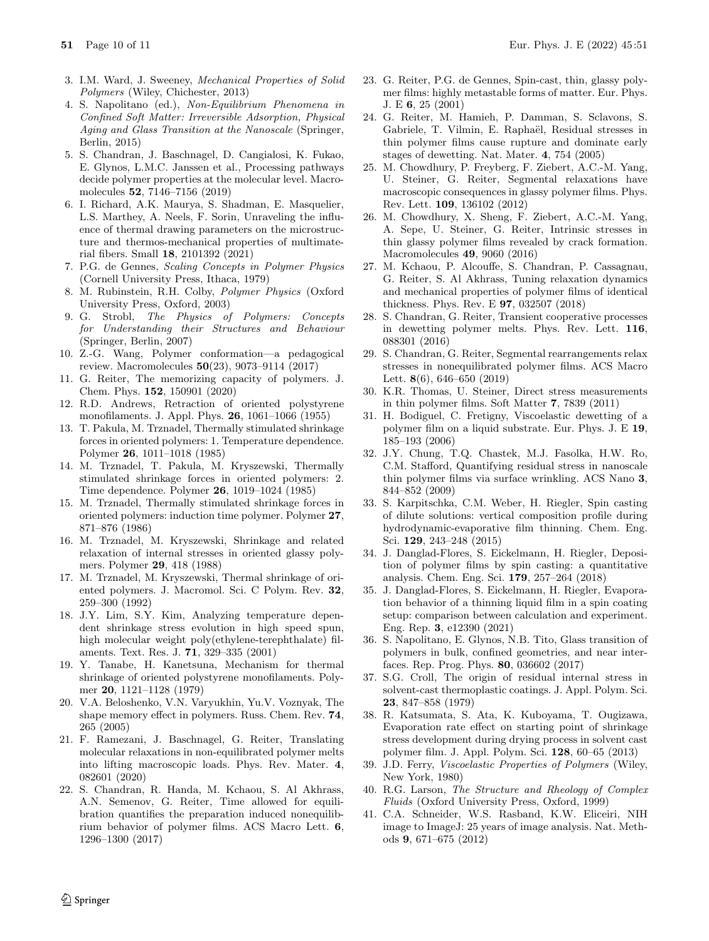- 3. I.M. Ward, J. Sweeney, *Mechanical Properties of Solid Polymers* (Wiley, Chichester, 2013)
- <span id="page-9-3"></span>4. S. Napolitano (ed.), *Non-Equilibrium Phenomena in Confined Soft Matter: Irreversible Adsorption, Physical Aging and Glass Transition at the Nanoscale* (Springer, Berlin, 2015)
- <span id="page-9-4"></span>5. S. Chandran, J. Baschnagel, D. Cangialosi, K. Fukao, E. Glynos, L.M.C. Janssen et al., Processing pathways decide polymer properties at the molecular level. Macromolecules **52**, 7146–7156 (2019)
- <span id="page-9-0"></span>6. I. Richard, A.K. Maurya, S. Shadman, E. Masquelier, L.S. Marthey, A. Neels, F. Sorin, Unraveling the influence of thermal drawing parameters on the microstructure and thermos-mechanical properties of multimaterial fibers. Small **18**, 2101392 (2021)
- <span id="page-9-1"></span>7. P.G. de Gennes, *Scaling Concepts in Polymer Physics* (Cornell University Press, Ithaca, 1979)
- 8. M. Rubinstein, R.H. Colby, *Polymer Physics* (Oxford University Press, Oxford, 2003)
- <span id="page-9-31"></span>9. G. Strobl, *The Physics of Polymers: Concepts for Understanding their Structures and Behaviour* (Springer, Berlin, 2007)
- <span id="page-9-2"></span>10. Z.-G. Wang, Polymer conformation—a pedagogical review. Macromolecules **50**(23), 9073–9114 (2017)
- <span id="page-9-5"></span>11. G. Reiter, The memorizing capacity of polymers. J. Chem. Phys. **152**, 150901 (2020)
- <span id="page-9-6"></span>12. R.D. Andrews, Retraction of oriented polystyrene monofilaments. J. Appl. Phys. **26**, 1061–1066 (1955)
- <span id="page-9-8"></span>13. T. Pakula, M. Trznadel, Thermally stimulated shrinkage forces in oriented polymers: 1. Temperature dependence. Polymer **26**, 1011–1018 (1985)
- 14. M. Trznadel, T. Pakula, M. Kryszewski, Thermally stimulated shrinkage forces in oriented polymers: 2. Time dependence. Polymer **26**, 1019–1024 (1985)
- <span id="page-9-10"></span>15. M. Trznadel, Thermally stimulated shrinkage forces in oriented polymers: induction time polymer. Polymer **27**, 871–876 (1986)
- <span id="page-9-30"></span>16. M. Trznadel, M. Kryszewski, Shrinkage and related relaxation of internal stresses in oriented glassy polymers. Polymer **29**, 418 (1988)
- <span id="page-9-9"></span>17. M. Trznadel, M. Kryszewski, Thermal shrinkage of oriented polymers. J. Macromol. Sci. C Polym. Rev. **32**, 259–300 (1992)
- <span id="page-9-11"></span>18. J.Y. Lim, S.Y. Kim, Analyzing temperature dependent shrinkage stress evolution in high speed spun, high molecular weight poly(ethylene-terephthalate) filaments. Text. Res. J. **71**, 329–335 (2001)
- <span id="page-9-12"></span>19. Y. Tanabe, H. Kanetsuna, Mechanism for thermal shrinkage of oriented polystyrene monofilaments. Polymer **20**, 1121–1128 (1979)
- <span id="page-9-7"></span>20. V.A. Beloshenko, V.N. Varyukhin, Yu.V. Voznyak, The shape memory effect in polymers. Russ. Chem. Rev. **74**, 265 (2005)
- <span id="page-9-13"></span>21. F. Ramezani, J. Baschnagel, G. Reiter, Translating molecular relaxations in non-equilibrated polymer melts into lifting macroscopic loads. Phys. Rev. Mater. **4**, 082601 (2020)
- <span id="page-9-14"></span>22. S. Chandran, R. Handa, M. Kchaou, S. Al Akhrass, A.N. Semenov, G. Reiter, Time allowed for equilibration quantifies the preparation induced nonequilibrium behavior of polymer films. ACS Macro Lett. **6**, 1296–1300 (2017)
- 23. G. Reiter, P.G. de Gennes, Spin-cast, thin, glassy polymer films: highly metastable forms of matter. Eur. Phys. J. E **6**, 25 (2001)
- <span id="page-9-16"></span>24. G. Reiter, M. Hamieh, P. Damman, S. Sclavons, S. Gabriele, T. Vilmin, E. Raphaël, Residual stresses in thin polymer films cause rupture and dominate early stages of dewetting. Nat. Mater. **4**, 754 (2005)
- 25. M. Chowdhury, P. Freyberg, F. Ziebert, A.C.-M. Yang, U. Steiner, G. Reiter, Segmental relaxations have macroscopic consequences in glassy polymer films. Phys. Rev. Lett. **109**, 136102 (2012)
- 26. M. Chowdhury, X. Sheng, F. Ziebert, A.C.-M. Yang, A. Sepe, U. Steiner, G. Reiter, Intrinsic stresses in thin glassy polymer films revealed by crack formation. Macromolecules **49**, 9060 (2016)
- <span id="page-9-25"></span>27. M. Kchaou, P. Alcouffe, S. Chandran, P. Cassagnau, G. Reiter, S. Al Akhrass, Tuning relaxation dynamics and mechanical properties of polymer films of identical thickness. Phys. Rev. E **97**, 032507 (2018)
- <span id="page-9-26"></span>28. S. Chandran, G. Reiter, Transient cooperative processes in dewetting polymer melts. Phys. Rev. Lett. **116**, 088301 (2016)
- <span id="page-9-15"></span>29. S. Chandran, G. Reiter, Segmental rearrangements relax stresses in nonequilibrated polymer films. ACS Macro Lett. **8**(6), 646–650 (2019)
- <span id="page-9-17"></span>30. K.R. Thomas, U. Steiner, Direct stress measurements in thin polymer films. Soft Matter **7**, 7839 (2011)
- <span id="page-9-18"></span>31. H. Bodiguel, C. Fretigny, Viscoelastic dewetting of a polymer film on a liquid substrate. Eur. Phys. J. E **19**, 185–193 (2006)
- <span id="page-9-19"></span>32. J.Y. Chung, T.Q. Chastek, M.J. Fasolka, H.W. Ro, C.M. Stafford, Quantifying residual stress in nanoscale thin polymer films via surface wrinkling. ACS Nano **3**, 844–852 (2009)
- <span id="page-9-20"></span>33. S. Karpitschka, C.M. Weber, H. Riegler, Spin casting of dilute solutions: vertical composition profile during hydrodynamic-evaporative film thinning. Chem. Eng. Sci. **129**, 243–248 (2015)
- 34. J. Danglad-Flores, S. Eickelmann, H. Riegler, Deposition of polymer films by spin casting: a quantitative analysis. Chem. Eng. Sci. **179**, 257–264 (2018)
- <span id="page-9-21"></span>35. J. Danglad-Flores, S. Eickelmann, H. Riegler, Evaporation behavior of a thinning liquid film in a spin coating setup: comparison between calculation and experiment. Eng. Rep. **3**, e12390 (2021)
- <span id="page-9-22"></span>36. S. Napolitano, E. Glynos, N.B. Tito, Glass transition of polymers in bulk, confined geometries, and near interfaces. Rep. Prog. Phys. **80**, 036602 (2017)
- <span id="page-9-23"></span>37. S.G. Croll, The origin of residual internal stress in solvent-cast thermoplastic coatings. J. Appl. Polym. Sci. **23**, 847–858 (1979)
- <span id="page-9-24"></span>38. R. Katsumata, S. Ata, K. Kuboyama, T. Ougizawa, Evaporation rate effect on starting point of shrinkage stress development during drying process in solvent cast polymer film. J. Appl. Polym. Sci. **128**, 60–65 (2013)
- <span id="page-9-27"></span>39. J.D. Ferry, *Viscoelastic Properties of Polymers* (Wiley, New York, 1980)
- <span id="page-9-28"></span>40. R.G. Larson, *The Structure and Rheology of Complex Fluids* (Oxford University Press, Oxford, 1999)
- <span id="page-9-29"></span>41. C.A. Schneider, W.S. Rasband, K.W. Eliceiri, NIH image to ImageJ: 25 years of image analysis. Nat. Methods **9**, 671–675 (2012)